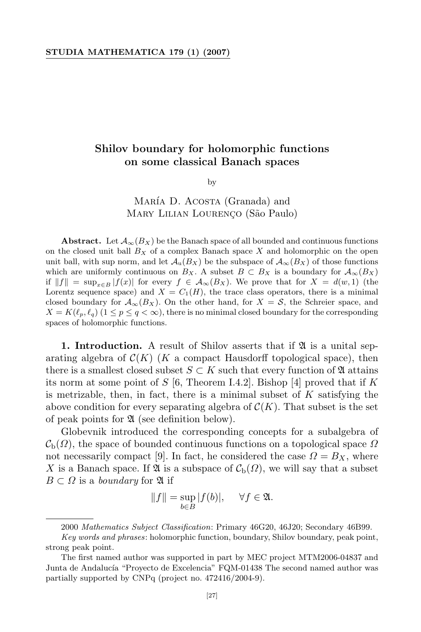## STUDIA MATHEMATICA 179 (1) (2007)

## Shilov boundary for holomorphic functions on some classical Banach spaces

by

MARÍA D. ACOSTA (Granada) and MARY LILIAN LOURENÇO (São Paulo)

Abstract. Let  $\mathcal{A}_{\infty}(B_X)$  be the Banach space of all bounded and continuous functions on the closed unit ball  $B_X$  of a complex Banach space X and holomorphic on the open unit ball, with sup norm, and let  $\mathcal{A}_{u}(B_X)$  be the subspace of  $\mathcal{A}_{\infty}(B_X)$  of those functions which are uniformly continuous on  $B_X$ . A subset  $B \subset B_X$  is a boundary for  $\mathcal{A}_{\infty}(B_X)$ if  $||f|| = \sup_{x \in B} |f(x)|$  for every  $f \in \mathcal{A}_{\infty}(B_X)$ . We prove that for  $X = d(w, 1)$  (the Lorentz sequence space) and  $X = C_1(H)$ , the trace class operators, there is a minimal closed boundary for  $\mathcal{A}_{\infty}(B_X)$ . On the other hand, for  $X = \mathcal{S}$ , the Schreier space, and  $X = K(\ell_p, \ell_q)$   $(1 \leq p \leq q < \infty)$ , there is no minimal closed boundary for the corresponding spaces of holomorphic functions.

**1. Introduction.** A result of Shilov asserts that if  $\mathfrak{A}$  is a unital separating algebra of  $\mathcal{C}(K)$  (K a compact Hausdorff topological space), then there is a smallest closed subset  $S \subset K$  such that every function of  $\mathfrak A$  attains its norm at some point of S [6, Theorem I.4.2]. Bishop [4] proved that if K is metrizable, then, in fact, there is a minimal subset of  $K$  satisfying the above condition for every separating algebra of  $\mathcal{C}(K)$ . That subset is the set of peak points for  $\mathfrak A$  (see definition below).

Globevnik introduced the corresponding concepts for a subalgebra of  $\mathcal{C}_{\mathfrak{b}}(\Omega)$ , the space of bounded continuous functions on a topological space  $\Omega$ not necessarily compact [9]. In fact, he considered the case  $\Omega = B_X$ , where X is a Banach space. If  $\mathfrak A$  is a subspace of  $\mathcal C_{\mathrm{b}}(\Omega)$ , we will say that a subset  $B \subset \Omega$  is a *boundary* for  $\mathfrak A$  if

$$
||f|| = \sup_{b \in B} |f(b)|, \quad \forall f \in \mathfrak{A}.
$$

<sup>2000</sup> Mathematics Subject Classification: Primary 46G20, 46J20; Secondary 46B99.

Key words and phrases: holomorphic function, boundary, Shilov boundary, peak point, strong peak point.

The first named author was supported in part by MEC project MTM2006-04837 and Junta de Andalucía "Proyecto de Excelencia" FQM-01438 The second named author was partially supported by CNPq (project no. 472416/2004-9).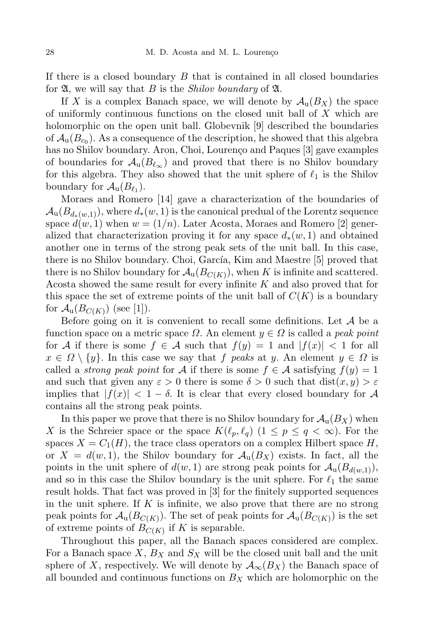If there is a closed boundary  $B$  that is contained in all closed boundaries for  $\mathfrak{A}$ , we will say that B is the *Shilov boundary* of  $\mathfrak{A}$ .

If X is a complex Banach space, we will denote by  $\mathcal{A}_{\mathfrak{u}}(B_X)$  the space of uniformly continuous functions on the closed unit ball of X which are holomorphic on the open unit ball. Globevnik [9] described the boundaries of  $\mathcal{A}_{\mathrm{u}}(B_{c_0})$ . As a consequence of the description, he showed that this algebra has no Shilov boundary. Aron, Choi, Lourenço and Paques [3] gave examples of boundaries for  $\mathcal{A}_{u}(B_{\ell_{\infty}})$  and proved that there is no Shilov boundary for this algebra. They also showed that the unit sphere of  $\ell_1$  is the Shilov boundary for  $\mathcal{A}_{\mathbf{u}}(B_{\ell_1}).$ 

Moraes and Romero [14] gave a characterization of the boundaries of  $\mathcal{A}_{\mathfrak{u}}(B_{d_*(w,1)}),$  where  $d_*(w,1)$  is the canonical predual of the Lorentz sequence space  $d(w, 1)$  when  $w = (1/n)$ . Later Acosta, Moraes and Romero [2] generalized that characterization proving it for any space  $d_*(w, 1)$  and obtained another one in terms of the strong peak sets of the unit ball. In this case, there is no Shilov boundary. Choi, García, Kim and Maestre [5] proved that there is no Shilov boundary for  $\mathcal{A}_{\mathbf{u}}(B_{C(K)}),$  when K is infinite and scattered. Acosta showed the same result for every infinite K and also proved that for this space the set of extreme points of the unit ball of  $C(K)$  is a boundary for  $\mathcal{A}_{\mathbf{u}}(B_{C(K)})$  (see [1]).

Before going on it is convenient to recall some definitions. Let  $A$  be a function space on a metric space  $\Omega$ . An element  $y \in \Omega$  is called a *peak point* for A if there is some  $f \in \mathcal{A}$  such that  $f(y) = 1$  and  $|f(x)| < 1$  for all  $x \in \Omega \setminus \{y\}$ . In this case we say that f peaks at y. An element  $y \in \Omega$  is called a *strong peak point* for A if there is some  $f \in A$  satisfying  $f(y) = 1$ and such that given any  $\varepsilon > 0$  there is some  $\delta > 0$  such that  $dist(x, y) > \varepsilon$ implies that  $|f(x)| < 1 - \delta$ . It is clear that every closed boundary for A contains all the strong peak points.

In this paper we prove that there is no Shilov boundary for  $\mathcal{A}_u(B_X)$  when X is the Schreier space or the space  $K(\ell_p, \ell_q)$   $(1 \leq p \leq q < \infty)$ . For the spaces  $X = C_1(H)$ , the trace class operators on a complex Hilbert space H, or  $X = d(w, 1)$ , the Shilov boundary for  $\mathcal{A}_{\mathfrak{u}}(B_X)$  exists. In fact, all the points in the unit sphere of  $d(w, 1)$  are strong peak points for  $\mathcal{A}_{u}(B_{d(w,1)}),$ and so in this case the Shilov boundary is the unit sphere. For  $\ell_1$  the same result holds. That fact was proved in [3] for the finitely supported sequences in the unit sphere. If K is infinite, we also prove that there are no strong peak points for  $\mathcal{A}_{\mathbf{u}}(B_{C(K)})$ . The set of peak points for  $\mathcal{A}_{\mathbf{u}}(B_{C(K)})$  is the set of extreme points of  $B_{C(K)}$  if K is separable.

Throughout this paper, all the Banach spaces considered are complex. For a Banach space  $X, B_X$  and  $S_X$  will be the closed unit ball and the unit sphere of X, respectively. We will denote by  $\mathcal{A}_{\infty}(B_X)$  the Banach space of all bounded and continuous functions on  $B<sub>X</sub>$  which are holomorphic on the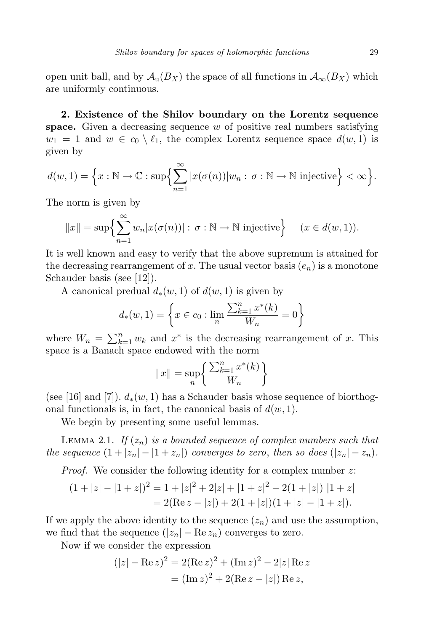open unit ball, and by  $\mathcal{A}_{u}(B_X)$  the space of all functions in  $\mathcal{A}_{\infty}(B_X)$  which are uniformly continuous.

2. Existence of the Shilov boundary on the Lorentz sequence space. Given a decreasing sequence  $w$  of positive real numbers satisfying  $w_1 = 1$  and  $w \in c_0 \setminus \ell_1$ , the complex Lorentz sequence space  $d(w, 1)$  is given by

$$
d(w,1) = \left\{ x : \mathbb{N} \to \mathbb{C} : \sup \left\{ \sum_{n=1}^{\infty} |x(\sigma(n))| w_n : \sigma : \mathbb{N} \to \mathbb{N} \text{ injective} \right\} < \infty \right\}.
$$

The norm is given by

$$
||x|| = \sup \left\{ \sum_{n=1}^{\infty} w_n |x(\sigma(n))| : \sigma : \mathbb{N} \to \mathbb{N} \text{ injective} \right\} \quad (x \in d(w, 1)).
$$

It is well known and easy to verify that the above supremum is attained for the decreasing rearrangement of x. The usual vector basis  $(e_n)$  is a monotone Schauder basis (see [12]).

A canonical predual  $d_*(w, 1)$  of  $d(w, 1)$  is given by

$$
d_{*}(w, 1) = \left\{ x \in c_0 : \lim_{n} \frac{\sum_{k=1}^{n} x^{*}(k)}{W_n} = 0 \right\}
$$

where  $W_n = \sum_{k=1}^n w_k$  and  $x^*$  is the decreasing rearrangement of x. This space is a Banach space endowed with the norm

$$
||x|| = \sup_{n} \left\{ \frac{\sum_{k=1}^{n} x^*(k)}{W_n} \right\}
$$

(see [16] and [7]).  $d_*(w, 1)$  has a Schauder basis whose sequence of biorthogonal functionals is, in fact, the canonical basis of  $d(w, 1)$ .

We begin by presenting some useful lemmas.

LEMMA 2.1. If  $(z_n)$  is a bounded sequence of complex numbers such that the sequence  $(1+|z_n|-|1+z_n|)$  converges to zero, then so does  $(|z_n|-z_n)$ .

Proof. We consider the following identity for a complex number z:

$$
(1+|z|-|1+z|)^2 = 1+|z|^2+2|z|+|1+z|^2-2(1+|z|)
$$
  
= 2(Re  $z - |z|$ ) + 2(1+|z|)(1+|z|-|1+z|).

If we apply the above identity to the sequence  $(z_n)$  and use the assumption, we find that the sequence  $(|z_n| - \text{Re } z_n)$  converges to zero.

Now if we consider the expression

$$
(|z| - \text{Re } z)^2 = 2(\text{Re } z)^2 + (\text{Im } z)^2 - 2|z| \text{ Re } z
$$
  
= 
$$
(\text{Im } z)^2 + 2(\text{Re } z - |z|) \text{ Re } z,
$$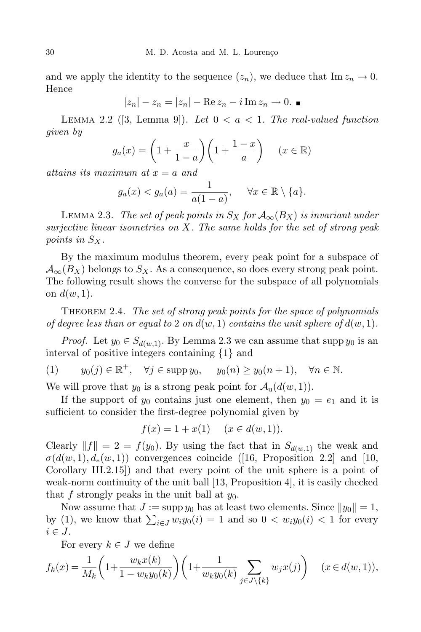and we apply the identity to the sequence  $(z_n)$ , we deduce that  $\text{Im } z_n \to 0$ . Hence

$$
|z_n| - z_n = |z_n| - \text{Re } z_n - i \,\text{Im } z_n \to 0.
$$

LEMMA 2.2 ([3, Lemma 9]). Let  $0 < a < 1$ . The real-valued function given by

$$
g_a(x) = \left(1 + \frac{x}{1-a}\right)\left(1 + \frac{1-x}{a}\right) \quad (x \in \mathbb{R})
$$

attains its maximum at  $x = a$  and

$$
g_a(x) < g_a(a) = \frac{1}{a(1-a)}, \quad \forall x \in \mathbb{R} \setminus \{a\}.
$$

LEMMA 2.3. The set of peak points in  $S_X$  for  $\mathcal{A}_{\infty}(B_X)$  is invariant under surjective linear isometries on X. The same holds for the set of strong peak points in  $S_X$ .

By the maximum modulus theorem, every peak point for a subspace of  $\mathcal{A}_{\infty}(B_X)$  belongs to  $S_X$ . As a consequence, so does every strong peak point. The following result shows the converse for the subspace of all polynomials on  $d(w, 1)$ .

THEOREM 2.4. The set of strong peak points for the space of polynomials of degree less than or equal to 2 on  $d(w, 1)$  contains the unit sphere of  $d(w, 1)$ .

*Proof.* Let  $y_0 \in S_{d(w,1)}$ . By Lemma 2.3 we can assume that supp  $y_0$  is an interval of positive integers containing {1} and

(1)  $y_0(j) \in \mathbb{R}^+, \quad \forall j \in \text{supp } y_0, \quad y_0(n) \ge y_0(n+1), \quad \forall n \in \mathbb{N}.$ 

We will prove that  $y_0$  is a strong peak point for  $\mathcal{A}_u(d(w, 1))$ .

If the support of  $y_0$  contains just one element, then  $y_0 = e_1$  and it is sufficient to consider the first-degree polynomial given by

$$
f(x) = 1 + x(1) \quad (x \in d(w, 1)).
$$

Clearly  $||f|| = 2 = f(y_0)$ . By using the fact that in  $S_{d(w,1)}$  the weak and  $\sigma(d(w, 1), d_*(w, 1))$  convergences coincide ([16, Proposition 2.2] and [10, Corollary III.2.15]) and that every point of the unit sphere is a point of weak-norm continuity of the unit ball [13, Proposition 4], it is easily checked that f strongly peaks in the unit ball at  $y_0$ .

Now assume that  $J := \sup y_0$  has at least two elements. Since  $||y_0|| = 1$ , by (1), we know that  $\sum_{i\in J} w_i y_0(i) = 1$  and so  $0 < w_i y_0(i) < 1$  for every  $i \in J$ .

For every  $k \in J$  we define

$$
f_k(x) = \frac{1}{M_k} \bigg( 1 + \frac{w_k x(k)}{1 - w_k y_0(k)} \bigg) \bigg( 1 + \frac{1}{w_k y_0(k)} \sum_{j \in J \backslash \{k\}} w_j x(j) \bigg) \qquad (x \in d(w, 1)),
$$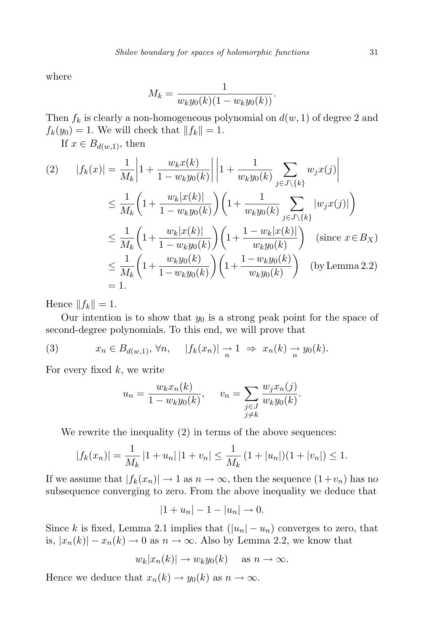where

$$
M_k = \frac{1}{w_k y_0(k)(1 - w_k y_0(k))}.
$$

Then  $f_k$  is clearly a non-homogeneous polynomial on  $d(w, 1)$  of degree 2 and  $f_k(y_0) = 1$ . We will check that  $||f_k|| = 1$ .

If  $x \in B_{d(w,1)}$ , then

$$
(2) \quad |f_k(x)| = \frac{1}{M_k} \left| 1 + \frac{w_k x(k)}{1 - w_k y_0(k)} \right| \left| 1 + \frac{1}{w_k y_0(k)} \sum_{j \in J \setminus \{k\}} w_j x(j) \right|
$$
  

$$
\leq \frac{1}{M_k} \left( 1 + \frac{w_k |x(k)|}{1 - w_k y_0(k)} \right) \left( 1 + \frac{1}{w_k y_0(k)} \sum_{j \in J \setminus \{k\}} |w_j x(j)| \right)
$$
  

$$
\leq \frac{1}{M_k} \left( 1 + \frac{w_k |x(k)|}{1 - w_k y_0(k)} \right) \left( 1 + \frac{1 - w_k |x(k)|}{w_k y_0(k)} \right) \quad \text{(since } x \in B_X\text{)}
$$
  

$$
\leq \frac{1}{M_k} \left( 1 + \frac{w_k y_0(k)}{1 - w_k y_0(k)} \right) \left( 1 + \frac{1 - w_k y_0(k)}{w_k y_0(k)} \right) \quad \text{(by Lemma 2.2)}
$$
  

$$
= 1.
$$

Hence  $||f_k|| = 1$ .

Our intention is to show that  $y_0$  is a strong peak point for the space of second-degree polynomials. To this end, we will prove that

(3) 
$$
x_n \in B_{d(w,1)}, \forall n, \quad |f_k(x_n)| \to 1 \Rightarrow x_n(k) \to y_0(k).
$$

For every fixed  $k$ , we write

$$
u_n = \frac{w_k x_n(k)}{1 - w_k y_0(k)}, \quad v_n = \sum_{\substack{j \in J \\ j \neq k}} \frac{w_j x_n(j)}{w_k y_0(k)}.
$$

We rewrite the inequality  $(2)$  in terms of the above sequences:

$$
|f_k(x_n)| = \frac{1}{M_k} |1 + u_n| |1 + v_n| \le \frac{1}{M_k} (1 + |u_n|)(1 + |v_n|) \le 1.
$$

If we assume that  $|f_k(x_n)| \to 1$  as  $n \to \infty$ , then the sequence  $(1+v_n)$  has no subsequence converging to zero. From the above inequality we deduce that

$$
|1+u_n|-1-|u_n|\to 0.
$$

Since k is fixed, Lemma 2.1 implies that  $(|u_n| - u_n)$  converges to zero, that is,  $|x_n(k)| - x_n(k) \to 0$  as  $n \to \infty$ . Also by Lemma 2.2, we know that

$$
w_k|x_n(k)| \to w_k y_0(k)
$$
 as  $n \to \infty$ .

Hence we deduce that  $x_n(k) \to y_0(k)$  as  $n \to \infty$ .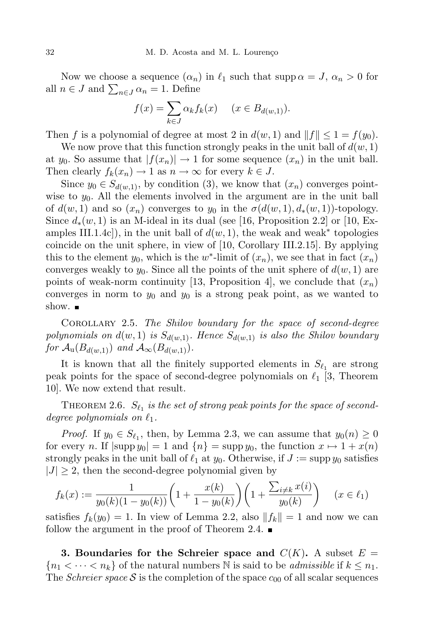Now we choose a sequence  $(\alpha_n)$  in  $\ell_1$  such that supp  $\alpha = J$ ,  $\alpha_n > 0$  for all  $n \in J$  and  $\sum_{n \in J} \alpha_n = 1$ . Define

$$
f(x) = \sum_{k \in J} \alpha_k f_k(x) \quad (x \in B_{d(w,1)}).
$$

Then f is a polynomial of degree at most 2 in  $d(w, 1)$  and  $||f|| \leq 1 = f(y_0)$ .

We now prove that this function strongly peaks in the unit ball of  $d(w, 1)$ at y<sub>0</sub>. So assume that  $|f(x_n)| \to 1$  for some sequence  $(x_n)$  in the unit ball. Then clearly  $f_k(x_n) \to 1$  as  $n \to \infty$  for every  $k \in J$ .

Since  $y_0 \in S_{d(w,1)}$ , by condition (3), we know that  $(x_n)$  converges pointwise to  $y_0$ . All the elements involved in the argument are in the unit ball of  $d(w, 1)$  and so  $(x_n)$  converges to  $y_0$  in the  $\sigma(d(w, 1), d_*(w, 1))$ -topology. Since  $d_*(w, 1)$  is an M-ideal in its dual (see [16, Proposition 2.2] or [10, Examples III.1.4c]), in the unit ball of  $d(w, 1)$ , the weak and weak<sup>\*</sup> topologies coincide on the unit sphere, in view of [10, Corollary III.2.15]. By applying this to the element  $y_0$ , which is the w<sup>\*</sup>-limit of  $(x_n)$ , we see that in fact  $(x_n)$ converges weakly to  $y_0$ . Since all the points of the unit sphere of  $d(w, 1)$  are points of weak-norm continuity [13, Proposition 4], we conclude that  $(x_n)$ converges in norm to  $y_0$  and  $y_0$  is a strong peak point, as we wanted to show.  $\blacksquare$ 

Corollary 2.5. The Shilov boundary for the space of second-degree polynomials on  $d(w, 1)$  is  $S_{d(w, 1)}$ . Hence  $S_{d(w, 1)}$  is also the Shilov boundary for  $\mathcal{A}_{\mathrm{u}}(B_{d(w,1)})$  and  $\mathcal{A}_{\infty}(B_{d(w,1)}).$ 

It is known that all the finitely supported elements in  $S_{\ell_1}$  are strong peak points for the space of second-degree polynomials on  $\ell_1$  [3, Theorem 10]. We now extend that result.

THEOREM 2.6.  $S_{\ell_1}$  is the set of strong peak points for the space of seconddegree polynomials on  $\ell_1$ .

*Proof.* If  $y_0 \in S_{\ell_1}$ , then, by Lemma 2.3, we can assume that  $y_0(n) \geq 0$ for every n. If  $|\text{supp } y_0| = 1$  and  $\{n\} = \text{supp } y_0$ , the function  $x \mapsto 1 + x(n)$ strongly peaks in the unit ball of  $\ell_1$  at  $y_0$ . Otherwise, if  $J := \sup y_0$  satisfies  $|J| \geq 2$ , then the second-degree polynomial given by

$$
f_k(x) := \frac{1}{y_0(k)(1 - y_0(k))} \left(1 + \frac{x(k)}{1 - y_0(k)}\right) \left(1 + \frac{\sum_{i \neq k} x(i)}{y_0(k)}\right) \quad (x \in \ell_1)
$$

satisfies  $f_k(y_0) = 1$ . In view of Lemma 2.2, also  $||f_k|| = 1$  and now we can follow the argument in the proof of Theorem 2.4.  $\blacksquare$ 

3. Boundaries for the Schreier space and  $C(K)$ . A subset  $E =$  ${n_1 < \cdots < n_k}$  of the natural numbers N is said to be *admissible* if  $k \leq n_1$ . The *Schreier space*  $S$  is the completion of the space  $c_{00}$  of all scalar sequences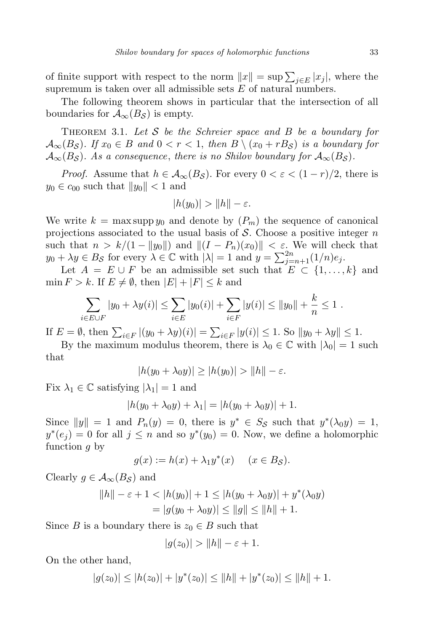of finite support with respect to the norm  $||x|| = \sup \sum_{j \in E} |x_j|$ , where the supremum is taken over all admissible sets  $E$  of natural numbers.

The following theorem shows in particular that the intersection of all boundaries for  $\mathcal{A}_{\infty}(B_{\mathcal{S}})$  is empty.

THEOREM 3.1. Let S be the Schreier space and B be a boundary for  $\mathcal{A}_{\infty}(B_{\mathcal{S}})$ . If  $x_0 \in B$  and  $0 < r < 1$ , then  $B \setminus (x_0 + rB_{\mathcal{S}})$  is a boundary for  $\mathcal{A}_{\infty}(B_{\mathcal{S}})$ . As a consequence, there is no Shilov boundary for  $\mathcal{A}_{\infty}(B_{\mathcal{S}})$ .

*Proof.* Assume that  $h \in \mathcal{A}_{\infty}(B_{\mathcal{S}})$ . For every  $0 < \varepsilon < (1 - r)/2$ , there is  $y_0 \in c_{00}$  such that  $||y_0|| < 1$  and

$$
|h(y_0)| > ||h|| - \varepsilon.
$$

We write  $k = \max \operatorname{supp} y_0$  and denote by  $(P_m)$  the sequence of canonical projections associated to the usual basis of  $S$ . Choose a positive integer n such that  $n > k/(1 - ||y_0||)$  and  $||(I - P_n)(x_0)|| < \varepsilon$ . We will check that  $y_0 + \lambda y \in B_{\mathcal{S}}$  for every  $\lambda \in \mathbb{C}$  with  $|\lambda| = 1$  and  $y = \sum_{j=n+1}^{2n} (1/n) e_j$ .

Let  $A = E \cup F$  be an admissible set such that  $E \subset \{1, ..., k\}$  and  $\min F > k$ . If  $E \neq \emptyset$ , then  $|E| + |F| \leq k$  and

$$
\sum_{i \in E \cup F} |y_0 + \lambda y(i)| \leq \sum_{i \in E} |y_0(i)| + \sum_{i \in F} |y(i)| \leq ||y_0|| + \frac{k}{n} \leq 1.
$$

If  $E = \emptyset$ , then  $\sum_{i \in F} |(y_0 + \lambda y)(i)| = \sum_{i \in F} |y(i)| \le 1$ . So  $||y_0 + \lambda y|| \le 1$ .

By the maximum modulus theorem, there is  $\lambda_0 \in \mathbb{C}$  with  $|\lambda_0| = 1$  such that

$$
|h(y_0 + \lambda_0 y)| \ge |h(y_0)| > ||h|| - \varepsilon.
$$

Fix  $\lambda_1 \in \mathbb{C}$  satisfying  $|\lambda_1| = 1$  and

$$
|h(y_0 + \lambda_0 y) + \lambda_1| = |h(y_0 + \lambda_0 y)| + 1.
$$

Since  $||y|| = 1$  and  $P_n(y) = 0$ , there is  $y^* \in S_{\mathcal{S}}$  such that  $y^*(\lambda_0 y) = 1$ ,  $y^*(e_j) = 0$  for all  $j \leq n$  and so  $y^*(y_0) = 0$ . Now, we define a holomorphic function g by

$$
g(x) := h(x) + \lambda_1 y^*(x) \quad (x \in B_{\mathcal{S}}).
$$

Clearly  $g \in \mathcal{A}_{\infty}(B_{\mathcal{S}})$  and

$$
||h|| - \varepsilon + 1 < |h(y_0)| + 1 \le |h(y_0 + \lambda_0 y)| + y^*(\lambda_0 y)
$$
  
=  $|g(y_0 + \lambda_0 y)| \le ||g|| \le ||h|| + 1.$ 

Since B is a boundary there is  $z_0 \in B$  such that

$$
|g(z_0)| > ||h|| - \varepsilon + 1.
$$

On the other hand,

$$
|g(z_0)| \le |h(z_0)| + |y^*(z_0)| \le ||h|| + |y^*(z_0)| \le ||h|| + 1.
$$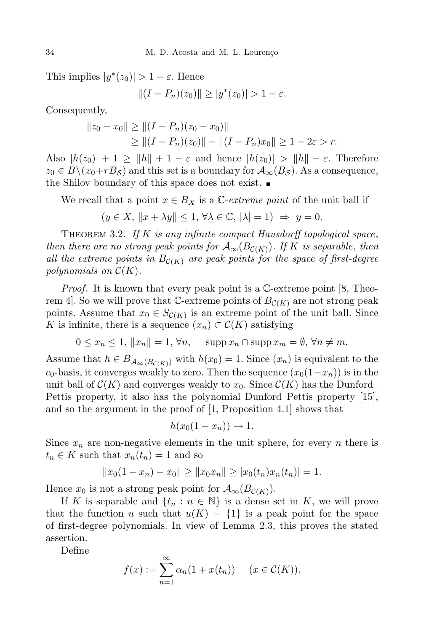This implies  $|y^*(z_0)| > 1 - \varepsilon$ . Hence

$$
||(I - P_n)(z_0)|| \ge |y^*(z_0)| > 1 - \varepsilon.
$$

Consequently,

$$
||z_0 - x_0|| \ge ||(I - P_n)(z_0 - x_0)||
$$
  
\n
$$
\ge ||(I - P_n)(z_0)|| - ||(I - P_n)x_0|| \ge 1 - 2\varepsilon > r.
$$

Also  $|h(z_0)| + 1 \ge ||h|| + 1 - \varepsilon$  and hence  $|h(z_0)| > ||h|| - \varepsilon$ . Therefore  $z_0 \in B \setminus (x_0 + rB_{\mathcal{S}})$  and this set is a boundary for  $\mathcal{A}_{\infty}(B_{\mathcal{S}})$ . As a consequence, the Shilov boundary of this space does not exist.

We recall that a point  $x \in B_X$  is a C-extreme point of the unit ball if

 $(y \in X, ||x + \lambda y|| \leq 1, \forall \lambda \in \mathbb{C}, |\lambda| = 1) \Rightarrow y = 0.$ 

THEOREM 3.2. If  $K$  is any infinite compact Hausdorff topological space, then there are no strong peak points for  $\mathcal{A}_{\infty}(B_{\mathcal{C}(K)})$ . If K is separable, then all the extreme points in  $B_{\mathcal{C}(K)}$  are peak points for the space of first-degree polynomials on  $\mathcal{C}(K)$ .

*Proof.* It is known that every peak point is a  $\mathbb{C}\text{-extreme point } |8$ , Theorem 4. So we will prove that C-extreme points of  $B_{\mathcal{C}(K)}$  are not strong peak points. Assume that  $x_0 \in S_{\mathcal{C}(K)}$  is an extreme point of the unit ball. Since K is infinite, there is a sequence  $(x_n) \subset \mathcal{C}(K)$  satisfying

 $0 \leq x_n \leq 1, \|x_n\| = 1, \forall n, \quad \text{supp } x_n \cap \text{supp } x_m = \emptyset, \forall n \neq m.$ 

Assume that  $h \in B_{\mathcal{A}_{\infty}(B_{\mathcal{C}(K)})}$  with  $h(x_0) = 1$ . Since  $(x_n)$  is equivalent to the  $c_0$ -basis, it converges weakly to zero. Then the sequence  $(x_0(1-x_n))$  is in the unit ball of  $\mathcal{C}(K)$  and converges weakly to  $x_0$ . Since  $\mathcal{C}(K)$  has the Dunford– Pettis property, it also has the polynomial Dunford–Pettis property [15], and so the argument in the proof of [1, Proposition 4.1] shows that

$$
h(x_0(1-x_n)) \to 1.
$$

Since  $x_n$  are non-negative elements in the unit sphere, for every n there is  $t_n \in K$  such that  $x_n(t_n) = 1$  and so

$$
||x_0(1-x_n)-x_0|| \ge ||x_0x_n|| \ge |x_0(t_n)x_n(t_n)| = 1.
$$

Hence  $x_0$  is not a strong peak point for  $\mathcal{A}_{\infty}(B_{\mathcal{C}(K)})$ .

If K is separable and  $\{t_n : n \in \mathbb{N}\}\$ is a dense set in K, we will prove that the function u such that  $u(K) = \{1\}$  is a peak point for the space of first-degree polynomials. In view of Lemma 2.3, this proves the stated assertion.

Define

$$
f(x) := \sum_{n=1}^{\infty} \alpha_n (1 + x(t_n)) \quad (x \in \mathcal{C}(K)),
$$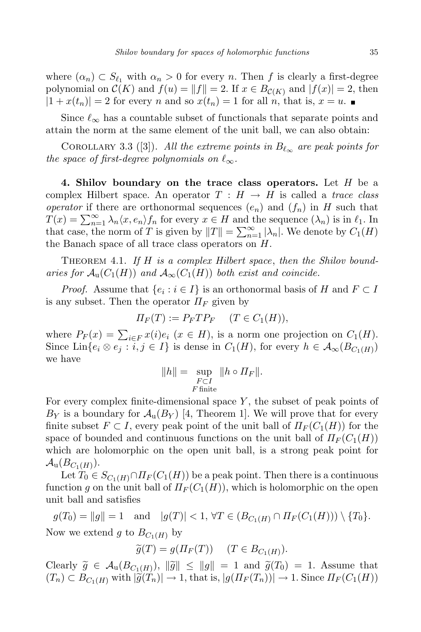where  $(\alpha_n) \subset S_{\ell_1}$  with  $\alpha_n > 0$  for every n. Then f is clearly a first-degree polynomial on  $\mathcal{C}(K)$  and  $f(u) = ||f|| = 2$ . If  $x \in B_{\mathcal{C}(K)}$  and  $|f(x)| = 2$ , then  $|1 + x(t_n)| = 2$  for every n and so  $x(t_n) = 1$  for all n, that is,  $x = u$ .

Since  $\ell_{\infty}$  has a countable subset of functionals that separate points and attain the norm at the same element of the unit ball, we can also obtain:

COROLLARY 3.3 ([3]). All the extreme points in  $B_{\ell_{\infty}}$  are peak points for the space of first-degree polynomials on  $\ell_{\infty}$ .

4. Shilov boundary on the trace class operators. Let  $H$  be a complex Hilbert space. An operator  $T : H \to H$  is called a *trace class* operator if there are orthonormal sequences  $(e_n)$  and  $(f_n)$  in H such that  $T(x) = \sum_{n=1}^{\infty} \lambda_n \langle x, e_n \rangle f_n$  for every  $x \in H$  and the sequence  $(\lambda_n)$  is in  $\ell_1$ . In that case, the norm of T is given by  $||T|| = \sum_{n=1}^{\infty} |\lambda_n|$ . We denote by  $C_1(H)$ the Banach space of all trace class operators on H.

THEOREM 4.1. If H is a complex Hilbert space, then the Shilov boundaries for  $\mathcal{A}_{u}(C_1(H))$  and  $\mathcal{A}_{\infty}(C_1(H))$  both exist and coincide.

*Proof.* Assume that  $\{e_i : i \in I\}$  is an orthonormal basis of H and  $F \subset I$ is any subset. Then the operator  $\Pi_F$  given by

$$
\Pi_F(T) := P_F T P_F \quad (T \in C_1(H)),
$$

where  $P_F(x) = \sum_{i \in F} x(i)e_i$   $(x \in H)$ , is a norm one projection on  $C_1(H)$ . Since Lin $\{e_i \otimes e_j : i, j \in I\}$  is dense in  $C_1(H)$ , for every  $h \in \mathcal{A}_{\infty}(B_{C_1(H)})$ we have

$$
||h|| = \sup_{\substack{F \subset I \\ F \text{ finite}}} ||h \circ \Pi_F||.
$$

For every complex finite-dimensional space  $Y$ , the subset of peak points of  $B_Y$  is a boundary for  $\mathcal{A}_{\text{u}}(B_Y)$  [4, Theorem 1]. We will prove that for every finite subset  $F \subset I$ , every peak point of the unit ball of  $\Pi_F(C_1(H))$  for the space of bounded and continuous functions on the unit ball of  $\Pi_F(C_1(H))$ which are holomorphic on the open unit ball, is a strong peak point for  $\mathcal{A}_\mathrm{u}(B_{C_1(H)}).$ 

Let  $T_0 \in S_{C_1(H)} \cap \Pi_F(C_1(H))$  be a peak point. Then there is a continuous function g on the unit ball of  $\Pi_F(C_1(H))$ , which is holomorphic on the open unit ball and satisfies

 $g(T_0) = ||g|| = 1$  and  $|g(T)| < 1, \forall T \in (B_{C_1(H)} \cap \Pi_F(C_1(H))) \setminus \{T_0\}.$ Now we extend g to  $B_{C_1(H)}$  by

 $\widetilde{g}(T) = g(\Pi_F(T)) \quad (T \in B_{C_1(H)}).$ 

Clearly  $\widetilde{g} \in \mathcal{A}_{\mathfrak{u}}(B_{C_1(H)})$ ,  $\|\widetilde{g}\| \le \|g\| = 1$  and  $\widetilde{g}(T_0) = 1$ . Assume that  $(T_n) \subset B_{C_1(H)}$  with  $|\widetilde{g}(T_n)| \to 1$ , that is,  $|g(H_F(T_n))| \to 1$ . Since  $\Pi_F(C_1(H))$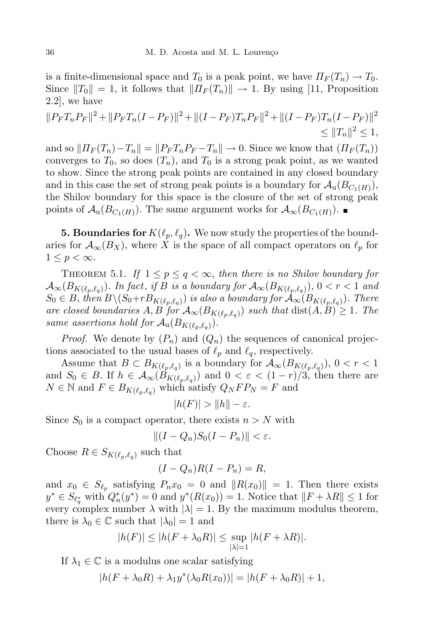is a finite-dimensional space and  $T_0$  is a peak point, we have  $\Pi_F(T_n) \to T_0$ . Since  $||T_0|| = 1$ , it follows that  $||T_F(T_n)|| \rightarrow 1$ . By using [11, Proposition 2.2], we have

$$
||P_F T_n P_F||^2 + ||P_F T_n (I - P_F)||^2 + ||(I - P_F) T_n P_F||^2 + ||(I - P_F) T_n (I - P_F)||^2
$$
  
\n
$$
\leq ||T_n||^2 \leq 1,
$$

and so  $||H_F (T_n) - T_n|| = ||P_F T_n P_F - T_n|| \to 0$ . Since we know that  $(H_F (T_n))$ converges to  $T_0$ , so does  $(T_n)$ , and  $T_0$  is a strong peak point, as we wanted to show. Since the strong peak points are contained in any closed boundary and in this case the set of strong peak points is a boundary for  $\mathcal{A}_{\mathbf{u}}(B_{C_1(H)}),$ the Shilov boundary for this space is the closure of the set of strong peak points of  $\mathcal{A}_{\mathbf{u}}(B_{C_1(H)})$ . The same argument works for  $\mathcal{A}_{\infty}(B_{C_1(H)})$ .

**5. Boundaries for**  $K(\ell_p, \ell_q)$ . We now study the properties of the boundaries for  $\mathcal{A}_{\infty}(B_X)$ , where X is the space of all compact operators on  $\ell_p$  for  $1 \leq p < \infty$ .

THEOREM 5.1. If  $1 \leq p \leq q < \infty$ , then there is no Shilov boundary for  ${\cal A}_\infty(B_{K(\ell_p,\ell_q)})$ . In fact, if  $B$  is a boundary for  ${\cal A}_\infty(B_{K(\ell_p,\ell_q)}),\,0 < r < 1$  and  $S_0 \in B,$  then  $B \setminus (S_0+rB_{K(\ell_p, \ell_q)})$  is also a boundary for  $\mathcal{A}_\infty(B_{K(\ell_p, \ell_q)})$ . There are closed boundaries A, B for  $\mathcal{A}_{\infty}(B_{K(\ell_p,\ell_q)})$  such that  $\text{dist}(A,B) \geq 1$ . The same assertions hold for  $\mathcal{A}_{\mathbf{u}}(B_{K(\ell_p,\ell_q)}).$ 

*Proof.* We denote by  $(P_n)$  and  $(Q_n)$  the sequences of canonical projections associated to the usual bases of  $\ell_p$  and  $\ell_q$ , respectively.

Assume that  $B \subset B_{K(\ell_p,\ell_q)}$  is a boundary for  $\mathcal{A}_{\infty}(B_{K(\ell_p,\ell_q)})$ ,  $0 < r < 1$ and  $S_0 \in B$ . If  $h \in \mathcal{A}_{\infty}(B_{K(\ell_p,\ell_q)})$  and  $0 < \varepsilon < (1-r)/3$ , then there are  $N \in \mathbb{N}$  and  $F \in B_{K(\ell_p,\ell_q)}$  which satisfy  $Q_N FP_N = F$  and

$$
|h(F)| > ||h|| - \varepsilon.
$$

Since  $S_0$  is a compact operator, there exists  $n > N$  with

$$
||(I - Q_n)S_0(I - P_n)|| < \varepsilon.
$$

Choose  $R \in S_{K(\ell_p,\ell_q)}$  such that

$$
(I - Q_n)R(I - P_n) = R,
$$

and  $x_0 \in S_{\ell_p}$  satisfying  $P_n x_0 = 0$  and  $||R(x_0)|| = 1$ . Then there exists  $y^* \in S_{\ell_q^*}$  with  $Q_n^*(y^*) = 0$  and  $y^*(R(x_0)) = 1$ . Notice that  $||F + \lambda R|| \le 1$  for every complex number  $\lambda$  with  $|\lambda| = 1$ . By the maximum modulus theorem, there is  $\lambda_0 \in \mathbb{C}$  such that  $|\lambda_0| = 1$  and

$$
|h(F)| \le |h(F + \lambda_0 R)| \le \sup_{|\lambda|=1} |h(F + \lambda R)|.
$$

If  $\lambda_1 \in \mathbb{C}$  is a modulus one scalar satisfying

$$
|h(F + \lambda_0 R) + \lambda_1 y^* (\lambda_0 R(x_0))| = |h(F + \lambda_0 R)| + 1,
$$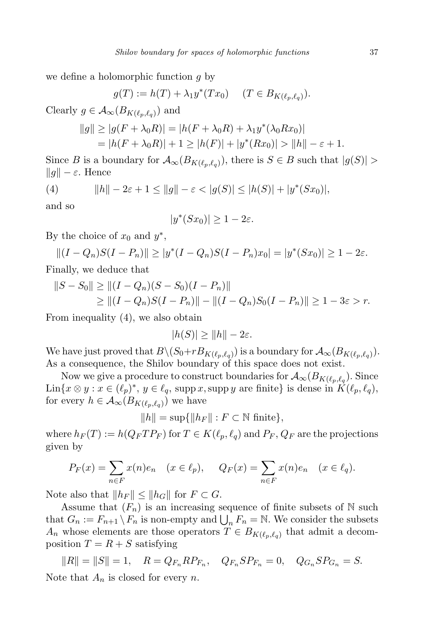we define a holomorphic function  $q$  by

$$
g(T) := h(T) + \lambda_1 y^*(Tx_0) \quad (T \in B_{K(\ell_p, \ell_q)}).
$$

Clearly  $g \in \mathcal{A}_{\infty}(B_{K(\ell_p,\ell_q)})$  and

$$
||g|| \ge |g(F + \lambda_0 R)| = |h(F + \lambda_0 R) + \lambda_1 y^* (\lambda_0 R x_0)|
$$
  
=  $|h(F + \lambda_0 R)| + 1 \ge |h(F)| + |y^* (Rx_0)| > ||h|| - \varepsilon + 1.$ 

Since B is a boundary for  $\mathcal{A}_{\infty}(B_{K(\ell_p,\ell_q)})$ , there is  $S \in B$  such that  $|g(S)| >$  $||g|| - \varepsilon$ . Hence

(4) 
$$
||h|| - 2\varepsilon + 1 \le ||g|| - \varepsilon < |g(S)| \le |h(S)| + |y^*(Sx_0)|,
$$

and so

$$
|y^*(Sx_0)| \ge 1 - 2\varepsilon.
$$

By the choice of  $x_0$  and  $y^*$ ,

 $||(I - Q_n)S(I - P_n)|| \ge |y^*(I - Q_n)S(I - P_n)x_0| = |y^*(Sx_0)| \ge 1 - 2\varepsilon.$ Finally, we deduce that

$$
||S - S_0|| \ge ||(I - Q_n)(S - S_0)(I - P_n)||
$$
  
\n
$$
\ge ||(I - Q_n)S(I - P_n)|| - ||(I - Q_n)S_0(I - P_n)|| \ge 1 - 3\varepsilon > r.
$$

From inequality (4), we also obtain

$$
|h(S)| \ge ||h|| - 2\varepsilon.
$$

We have just proved that  $B \setminus (S_0 + rB_{K(\ell_p, \ell_q)})$  is a boundary for  $\mathcal{A}_{\infty}(B_{K(\ell_p, \ell_q)})$ . As a consequence, the Shilov boundary of this space does not exist.

Now we give a procedure to construct boundaries for  $\mathcal{A}_{\infty}(B_{K(\ell_p,\ell_q}).$  Since  $\text{Lin}\{x\otimes y : x \in (\ell_p)^*, y \in \ell_q, \text{ supp } x, \text{supp } y \text{ are finite}\}\$ is dense in  $K(\ell_p, \ell_q)$ , for every  $h \in \mathcal{A}_{\infty}(B_{K(\ell_p,\ell_q)})$  we have

 $||h|| = \sup{||h_F|| : F \subset \mathbb{N} \text{ finite}},$ 

where  $h_F(T) := h(Q_F T P_F)$  for  $T \in K(\ell_p, \ell_q)$  and  $P_F, Q_F$  are the projections given by

$$
P_F(x) = \sum_{n \in F} x(n)e_n \quad (x \in \ell_p), \quad Q_F(x) = \sum_{n \in F} x(n)e_n \quad (x \in \ell_q).
$$

Note also that  $||h_F|| \leq ||h_G||$  for  $F \subset G$ .

Assume that  $(F_n)$  is an increasing sequence of finite subsets of N such that  $G_n := F_{n+1} \setminus F_n$  is non-empty and  $\bigcup_n F_n = \mathbb{N}$ . We consider the subsets  $A_n$  whose elements are those operators  $T \in B_{K(\ell_p,\ell_q)}$  that admit a decomposition  $T = R + S$  satisfying

 $||R|| = ||S|| = 1, \quad R = Q_{F_n} R P_{F_n}, \quad Q_{F_n} S P_{F_n} = 0, \quad Q_{G_n} S P_{G_n} = S.$ Note that  $A_n$  is closed for every n.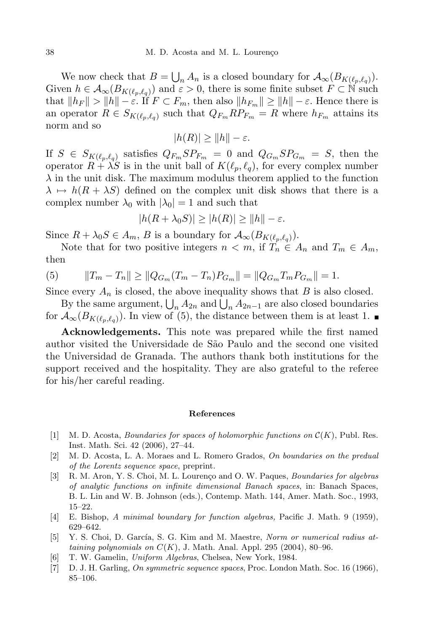We now check that  $B = \bigcup_n A_n$  is a closed boundary for  $\mathcal{A}_{\infty}(B_{K(\ell_p,\ell_q)})$ . Given  $h \in \mathcal{A}_{\infty}(B_{K(\ell_p,\ell_q)})$  and  $\varepsilon > 0$ , there is some finite subset  $F \subset \mathbb{N}$  such that  $||h_F|| > ||h|| - \varepsilon$ . If  $F \subset F_m$ , then also  $||h_{F_m}|| \ge ||h|| - \varepsilon$ . Hence there is an operator  $R \in S_{K(\ell_p,\ell_q)}$  such that  $Q_{F_m}RP_{F_m} = R$  where  $h_{F_m}$  attains its norm and so

$$
|h(R)| \ge ||h|| - \varepsilon.
$$

If  $S \in S_{K(\ell_p,\ell_q)}$  satisfies  $Q_{F_m} S P_{F_m} = 0$  and  $Q_{G_m} S P_{G_m} = S$ , then the operator  $R + \lambda S$  is in the unit ball of  $K(\ell_p, \ell_q)$ , for every complex number  $\lambda$  in the unit disk. The maximum modulus theorem applied to the function  $\lambda \mapsto h(R + \lambda S)$  defined on the complex unit disk shows that there is a complex number  $\lambda_0$  with  $|\lambda_0| = 1$  and such that

$$
|h(R + \lambda_0 S)| \ge |h(R)| \ge ||h|| - \varepsilon.
$$

Since  $R + \lambda_0 S \in A_m$ , B is a boundary for  $\mathcal{A}_{\infty}(B_{K(\ell_p, \ell_q)})$ .

Note that for two positive integers  $n < m$ , if  $T_n \in A_n$  and  $T_m \in A_m$ , then

(5) 
$$
||T_m - T_n|| \ge ||Q_{G_m}(T_m - T_n)P_{G_m}|| = ||Q_{G_m}T_mP_{G_m}|| = 1.
$$

Since every  $A_n$  is closed, the above inequality shows that B is also closed.

By the same argument,  $\bigcup_n A_{2n}$  and  $\bigcup_n A_{2n-1}$  are also closed boundaries for  $\mathcal{A}_{\infty}(B_{K(\ell_p,\ell_q)})$ . In view of (5), the distance between them is at least 1.

Acknowledgements. This note was prepared while the first named author visited the Universidade de S˜ao Paulo and the second one visited the Universidad de Granada. The authors thank both institutions for the support received and the hospitality. They are also grateful to the referee for his/her careful reading.

## References

- [1] M. D. Acosta, *Boundaries for spaces of holomorphic functions on*  $\mathcal{C}(K)$ , Publ. Res. Inst. Math. Sci. 42 (2006), 27–44.
- [2] M. D. Acosta, L. A. Moraes and L. Romero Grados, On boundaries on the predual of the Lorentz sequence space, preprint.
- [3] R. M. Aron, Y. S. Choi, M. L. Lourenço and O. W. Paques, *Boundaries for algebras* of analytic functions on infinite dimensional Banach spaces, in: Banach Spaces, B. L. Lin and W. B. Johnson (eds.), Contemp. Math. 144, Amer. Math. Soc., 1993, 15–22.
- [4] E. Bishop, A minimal boundary for function algebras, Pacific J. Math. 9 (1959), 629–642.
- [5] Y. S. Choi, D. García, S. G. Kim and M. Maestre, Norm or numerical radius attaining polynomials on  $C(K)$ , J. Math. Anal. Appl. 295 (2004), 80–96.
- [6] T. W. Gamelin, Uniform Algebras, Chelsea, New York, 1984.
- [7] D. J. H. Garling, On symmetric sequence spaces, Proc. London Math. Soc. 16 (1966), 85–106.